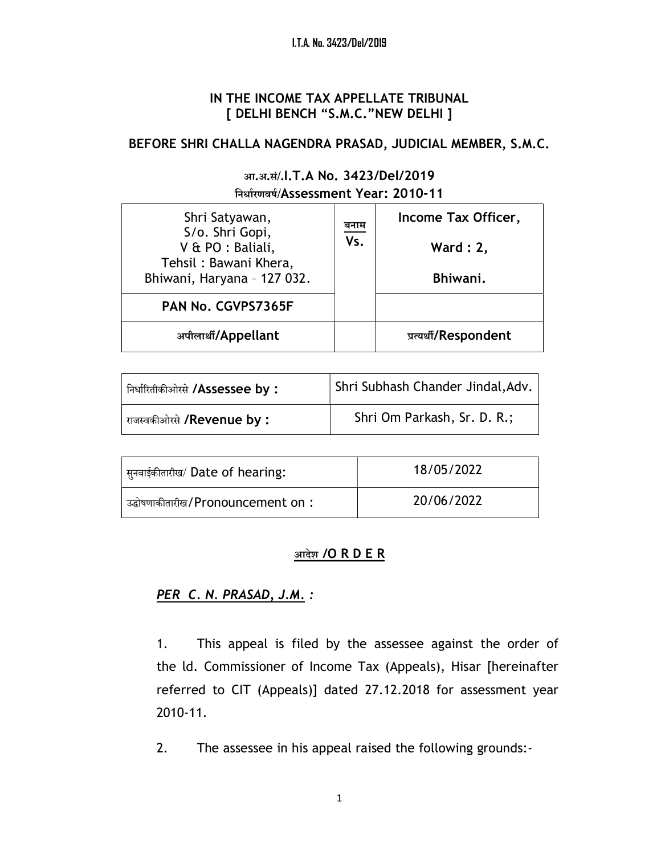### IN THE INCOME TAX APPELLATE TRIBUNAL [ DELHI BENCH "S.M.C."NEW DELHI ]

## BEFORE SHRI CHALLA NAGENDRA PRASAD, JUDICIAL MEMBER, S.M.C.

### आ.अ.सं/.I.T.A No. 3423/Del/2019 िनधाªरणवषª/Assessment Year: 2010-11

| Shri Satyawan,<br>S/o. Shri Gopi,          | बनाम<br>Vs. | Income Tax Officer,   |
|--------------------------------------------|-------------|-----------------------|
| V & PO : Baliali,<br>Tehsil: Bawani Khera, |             | Ward $: 2,$           |
| Bhiwani, Haryana - 127 032.                |             | Bhiwani.              |
| PAN No. CGVPS7365F                         |             |                       |
| अपीलार्थी/Appellant                        |             | प्रत्यर्थी/Respondent |

| निर्धारितीकीओरसे <b>/Assessee by :</b> | Shri Subhash Chander Jindal, Adv. |
|----------------------------------------|-----------------------------------|
| राजस्वकीओरसे <b>/Revenue by :</b>      | Shri Om Parkash, Sr. D. R.;       |

| सुनवाईकीतारीख/ Date of hearing:               | 18/05/2022 |
|-----------------------------------------------|------------|
| ' उद्घोषणाकीतारीख / Pronouncement on $\colon$ | 20/06/2022 |

### आदेश /O R D E R

## PER C. N. PRASAD, J.M. :

1. This appeal is filed by the assessee against the order of the ld. Commissioner of Income Tax (Appeals), Hisar [hereinafter referred to CIT (Appeals)] dated 27.12.2018 for assessment year 2010-11.

2. The assessee in his appeal raised the following grounds:-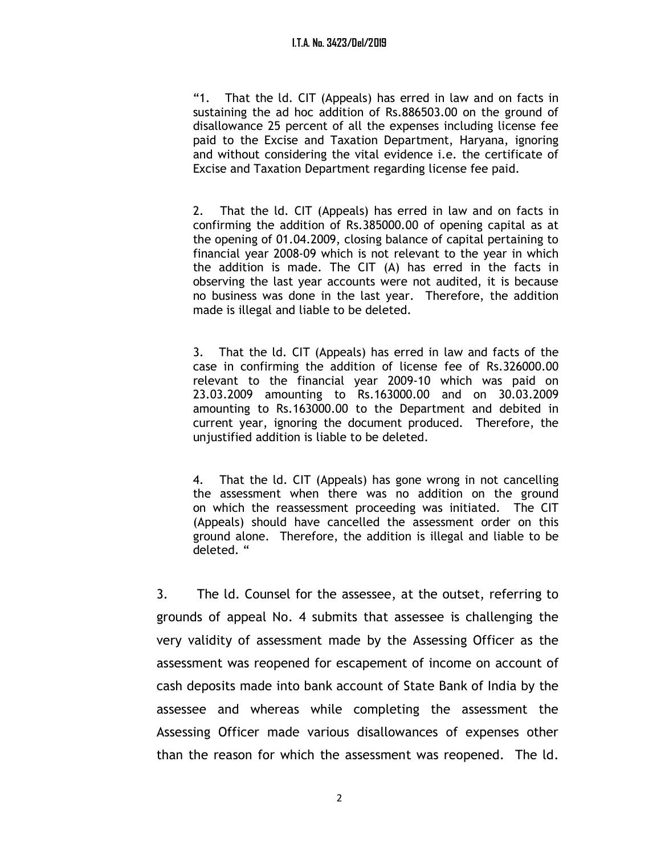"1. That the ld. CIT (Appeals) has erred in law and on facts in sustaining the ad hoc addition of Rs.886503.00 on the ground of disallowance 25 percent of all the expenses including license fee paid to the Excise and Taxation Department, Haryana, ignoring and without considering the vital evidence i.e. the certificate of Excise and Taxation Department regarding license fee paid.

2. That the ld. CIT (Appeals) has erred in law and on facts in confirming the addition of Rs.385000.00 of opening capital as at the opening of 01.04.2009, closing balance of capital pertaining to financial year 2008-09 which is not relevant to the year in which the addition is made. The CIT (A) has erred in the facts in observing the last year accounts were not audited, it is because no business was done in the last year. Therefore, the addition made is illegal and liable to be deleted.

3. That the ld. CIT (Appeals) has erred in law and facts of the case in confirming the addition of license fee of Rs.326000.00 relevant to the financial year 2009-10 which was paid on 23.03.2009 amounting to Rs.163000.00 and on 30.03.2009 amounting to Rs.163000.00 to the Department and debited in current year, ignoring the document produced. Therefore, the unjustified addition is liable to be deleted.

4. That the ld. CIT (Appeals) has gone wrong in not cancelling the assessment when there was no addition on the ground on which the reassessment proceeding was initiated. The CIT (Appeals) should have cancelled the assessment order on this ground alone. Therefore, the addition is illegal and liable to be deleted. "

3. The ld. Counsel for the assessee, at the outset, referring to grounds of appeal No. 4 submits that assessee is challenging the very validity of assessment made by the Assessing Officer as the assessment was reopened for escapement of income on account of cash deposits made into bank account of State Bank of India by the assessee and whereas while completing the assessment the Assessing Officer made various disallowances of expenses other than the reason for which the assessment was reopened. The ld.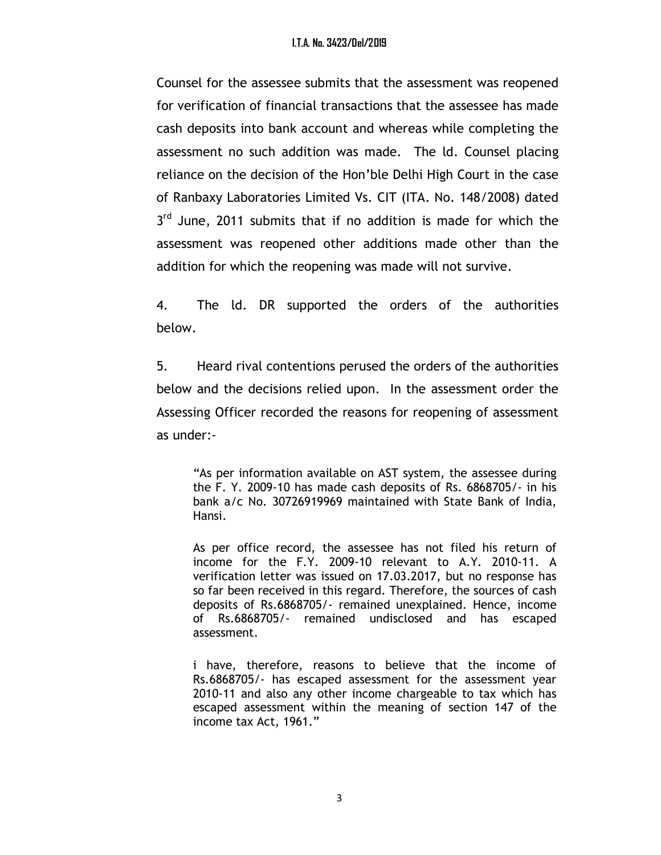Counsel for the assessee submits that the assessment was reopened for verification of financial transactions that the assessee has made cash deposits into bank account and whereas while completing the assessment no such addition was made. The ld. Counsel placing reliance on the decision of the Hon'ble Delhi High Court in the case of Ranbaxy Laboratories Limited Vs. CIT (ITA. No. 148/2008) dated 3<sup>rd</sup> June, 2011 submits that if no addition is made for which the assessment was reopened other additions made other than the addition for which the reopening was made will not survive.

4. The ld. DR supported the orders of the authorities below.

5. Heard rival contentions perused the orders of the authorities below and the decisions relied upon. In the assessment order the Assessing Officer recorded the reasons for reopening of assessment as under:-

"As per information available on AST system, the assessee during the F. Y. 2009-10 has made cash deposits of Rs. 6868705/- in his bank a/c No. 30726919969 maintained with State Bank of India, Hansi.

As per office record, the assessee has not filed his return of income for the F.Y. 2009-10 relevant to A.Y. 2010-11. A verification letter was issued on 17.03.2017, but no response has so far been received in this regard. Therefore, the sources of cash deposits of Rs.6868705/- remained unexplained. Hence, income of Rs.6868705/- remained undisclosed and has escaped assessment.

i have, therefore, reasons to believe that the income of Rs.6868705/- has escaped assessment for the assessment year 2010-11 and also any other income chargeable to tax which has escaped assessment within the meaning of section 147 of the income tax Act, 1961."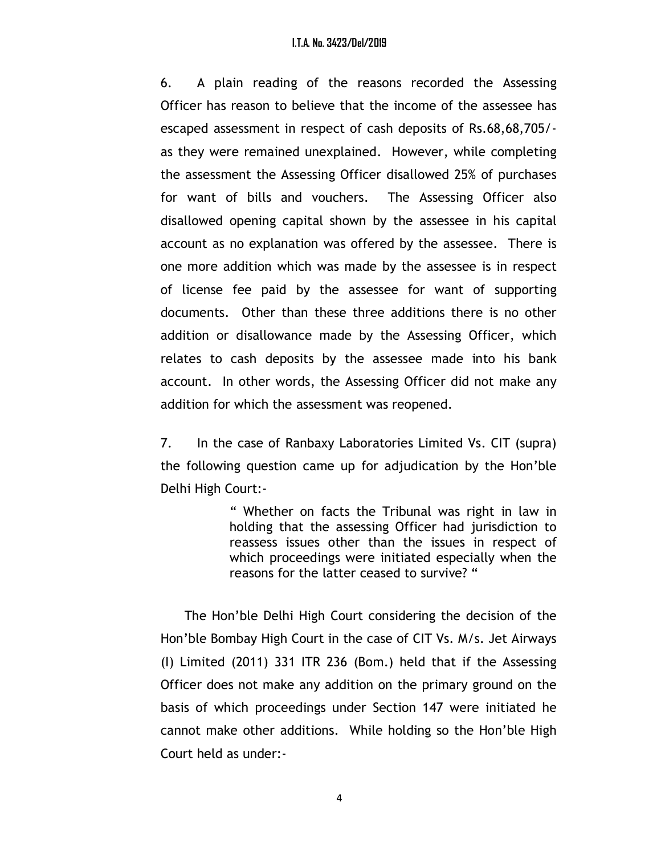#### I.T.A. No. 3423/Del/2019

6. A plain reading of the reasons recorded the Assessing Officer has reason to believe that the income of the assessee has escaped assessment in respect of cash deposits of Rs.68,68,705/ as they were remained unexplained. However, while completing the assessment the Assessing Officer disallowed 25% of purchases for want of bills and vouchers. The Assessing Officer also disallowed opening capital shown by the assessee in his capital account as no explanation was offered by the assessee. There is one more addition which was made by the assessee is in respect of license fee paid by the assessee for want of supporting documents. Other than these three additions there is no other addition or disallowance made by the Assessing Officer, which relates to cash deposits by the assessee made into his bank account. In other words, the Assessing Officer did not make any addition for which the assessment was reopened.

7. In the case of Ranbaxy Laboratories Limited Vs. CIT (supra) the following question came up for adjudication by the Hon'ble Delhi High Court:-

> " Whether on facts the Tribunal was right in law in holding that the assessing Officer had jurisdiction to reassess issues other than the issues in respect of which proceedings were initiated especially when the reasons for the latter ceased to survive? "

 The Hon'ble Delhi High Court considering the decision of the Hon'ble Bombay High Court in the case of CIT Vs. M/s. Jet Airways (I) Limited (2011) 331 ITR 236 (Bom.) held that if the Assessing Officer does not make any addition on the primary ground on the basis of which proceedings under Section 147 were initiated he cannot make other additions. While holding so the Hon'ble High Court held as under:-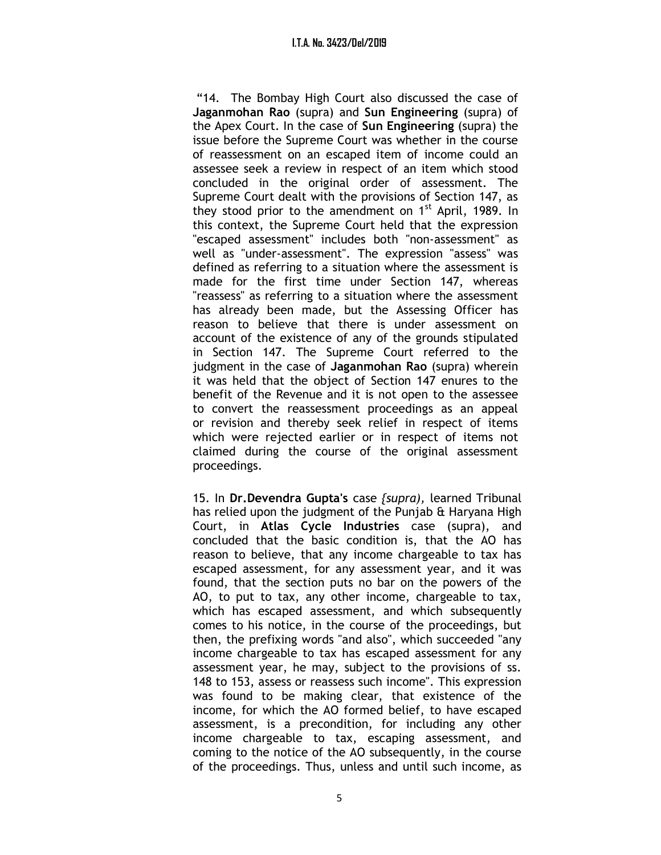"14. The Bombay High Court also discussed the case of Jaganmohan Rao (supra) and Sun Engineering (supra) of the Apex Court. In the case of Sun Engineering (supra) the issue before the Supreme Court was whether in the course of reassessment on an escaped item of income could an assessee seek a review in respect of an item which stood concluded in the original order of assessment. The Supreme Court dealt with the provisions of Section 147, as they stood prior to the amendment on  $1<sup>st</sup>$  April, 1989. In this context, the Supreme Court held that the expression "escaped assessment" includes both "non-assessment" as well as "under-assessment". The expression "assess" was defined as referring to a situation where the assessment is made for the first time under Section 147, whereas "reassess" as referring to a situation where the assessment has already been made, but the Assessing Officer has reason to believe that there is under assessment on account of the existence of any of the grounds stipulated in Section 147. The Supreme Court referred to the judgment in the case of Jaganmohan Rao (supra) wherein it was held that the object of Section 147 enures to the benefit of the Revenue and it is not open to the assessee to convert the reassessment proceedings as an appeal or revision and thereby seek relief in respect of items which were rejected earlier or in respect of items not claimed during the course of the original assessment proceedings.

15. In Dr.Devendra Gupta's case *{supra}*, learned Tribunal has relied upon the judgment of the Punjab & Haryana High Court, in Atlas Cycle Industries case (supra), and concluded that the basic condition is, that the AO has reason to believe, that any income chargeable to tax has escaped assessment, for any assessment year, and it was found, that the section puts no bar on the powers of the AO, to put to tax, any other income, chargeable to tax, which has escaped assessment, and which subsequently comes to his notice, in the course of the proceedings, but then, the prefixing words "and also", which succeeded "any income chargeable to tax has escaped assessment for any assessment year, he may, subject to the provisions of ss. 148 to 153, assess or reassess such income". This expression was found to be making clear, that existence of the income, for which the AO formed belief, to have escaped assessment, is a precondition, for including any other income chargeable to tax, escaping assessment, and coming to the notice of the AO subsequently, in the course of the proceedings. Thus, unless and until such income, as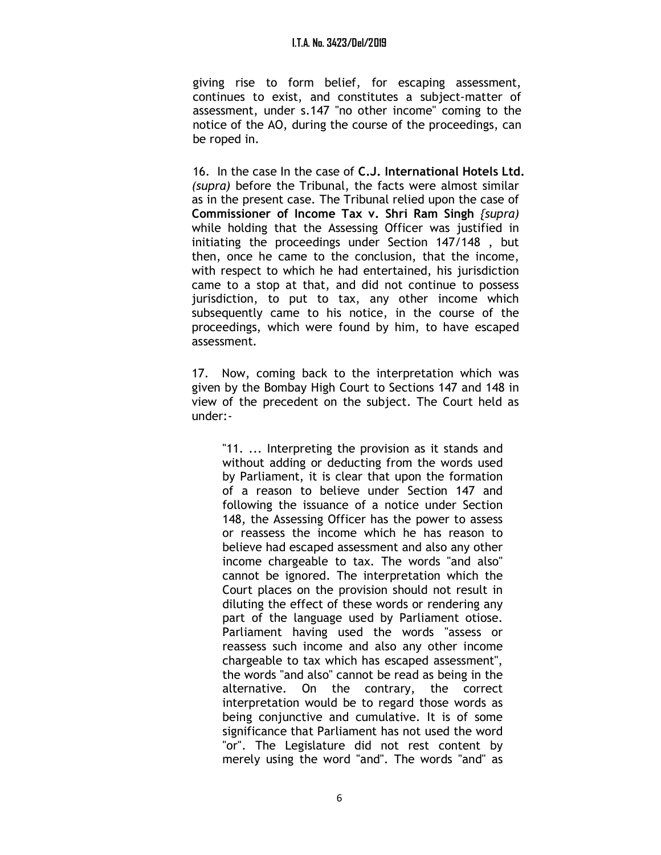#### I.T.A. No. 3423/Del/2019

giving rise to form belief, for escaping assessment, continues to exist, and constitutes a subject-matter of assessment, under s.147 "no other income" coming to the notice of the AO, during the course of the proceedings, can be roped in.

16. In the case In the case of C.J. International Hotels Ltd. (supra) before the Tribunal, the facts were almost similar as in the present case. The Tribunal relied upon the case of Commissioner of Income Tax v. Shri Ram Singh {supra) while holding that the Assessing Officer was justified in initiating the proceedings under Section 147/148 , but then, once he came to the conclusion, that the income, with respect to which he had entertained, his jurisdiction came to a stop at that, and did not continue to possess jurisdiction, to put to tax, any other income which subsequently came to his notice, in the course of the proceedings, which were found by him, to have escaped assessment.

17. Now, coming back to the interpretation which was given by the Bombay High Court to Sections 147 and 148 in view of the precedent on the subject. The Court held as under:-

"11. ... Interpreting the provision as it stands and without adding or deducting from the words used by Parliament, it is clear that upon the formation of a reason to believe under Section 147 and following the issuance of a notice under Section 148, the Assessing Officer has the power to assess or reassess the income which he has reason to believe had escaped assessment and also any other income chargeable to tax. The words "and also" cannot be ignored. The interpretation which the Court places on the provision should not result in diluting the effect of these words or rendering any part of the language used by Parliament otiose. Parliament having used the words "assess or reassess such income and also any other income chargeable to tax which has escaped assessment", the words "and also" cannot be read as being in the alternative. On the contrary, the correct interpretation would be to regard those words as being conjunctive and cumulative. It is of some significance that Parliament has not used the word "or". The Legislature did not rest content by merely using the word "and". The words "and" as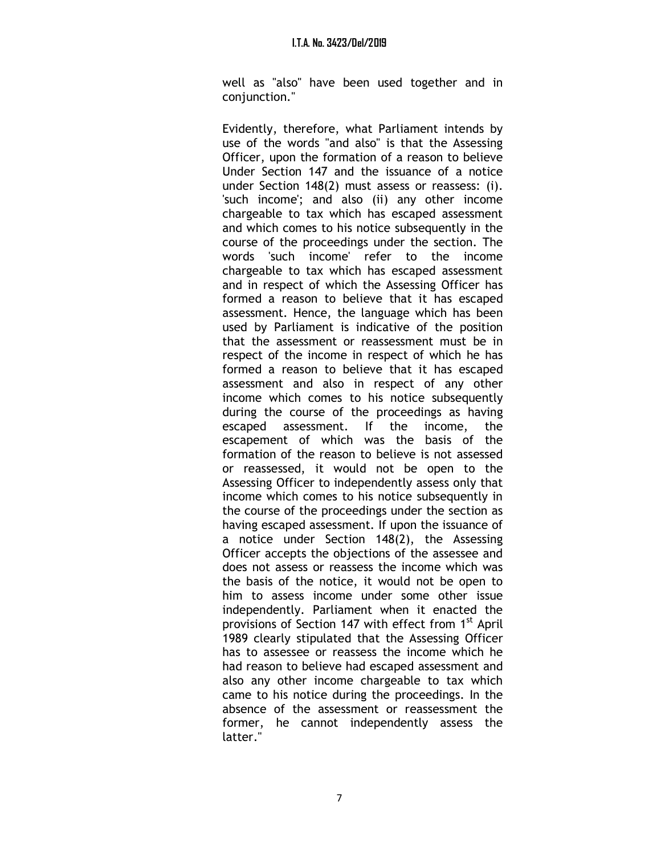#### I.T.A. No. 3423/Del/2019

well as "also" have been used together and in conjunction."

Evidently, therefore, what Parliament intends by use of the words "and also" is that the Assessing Officer, upon the formation of a reason to believe Under Section 147 and the issuance of a notice under Section 148(2) must assess or reassess: (i). 'such income'; and also (ii) any other income chargeable to tax which has escaped assessment and which comes to his notice subsequently in the course of the proceedings under the section. The words 'such income' refer to the income chargeable to tax which has escaped assessment and in respect of which the Assessing Officer has formed a reason to believe that it has escaped assessment. Hence, the language which has been used by Parliament is indicative of the position that the assessment or reassessment must be in respect of the income in respect of which he has formed a reason to believe that it has escaped assessment and also in respect of any other income which comes to his notice subsequently during the course of the proceedings as having escaped assessment. If the income, the escapement of which was the basis of the formation of the reason to believe is not assessed or reassessed, it would not be open to the Assessing Officer to independently assess only that income which comes to his notice subsequently in the course of the proceedings under the section as having escaped assessment. If upon the issuance of a notice under Section 148(2), the Assessing Officer accepts the objections of the assessee and does not assess or reassess the income which was the basis of the notice, it would not be open to him to assess income under some other issue independently. Parliament when it enacted the provisions of Section 147 with effect from 1<sup>st</sup> April 1989 clearly stipulated that the Assessing Officer has to assessee or reassess the income which he had reason to believe had escaped assessment and also any other income chargeable to tax which came to his notice during the proceedings. In the absence of the assessment or reassessment the former, he cannot independently assess the latter."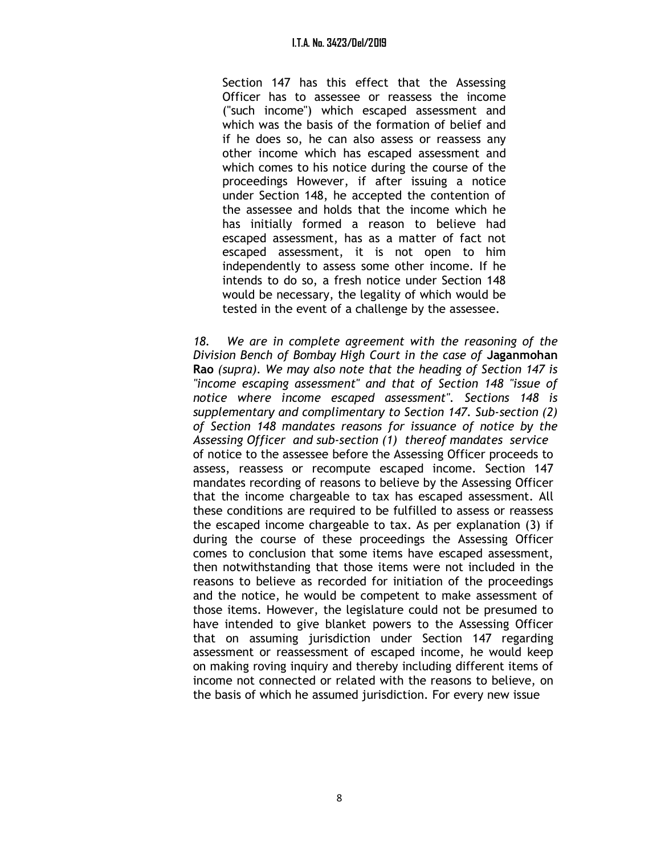Section 147 has this effect that the Assessing Officer has to assessee or reassess the income ("such income") which escaped assessment and which was the basis of the formation of belief and if he does so, he can also assess or reassess any other income which has escaped assessment and which comes to his notice during the course of the proceedings However, if after issuing a notice under Section 148, he accepted the contention of the assessee and holds that the income which he has initially formed a reason to believe had escaped assessment, has as a matter of fact not escaped assessment, it is not open to him independently to assess some other income. If he intends to do so, a fresh notice under Section 148 would be necessary, the legality of which would be tested in the event of a challenge by the assessee.

18. We are in complete agreement with the reasoning of the Division Bench of Bombay High Court in the case of Jaganmohan Rao (supra). We may also note that the heading of Section 147 is "income escaping assessment" and that of Section 148 "issue of notice where income escaped assessment". Sections 148 is supplementary and complimentary to Section 147. Sub-section (2) of Section 148 mandates reasons for issuance of notice by the Assessing Officer and sub-section (1) thereof mandates service of notice to the assessee before the Assessing Officer proceeds to assess, reassess or recompute escaped income. Section 147 mandates recording of reasons to believe by the Assessing Officer that the income chargeable to tax has escaped assessment. All these conditions are required to be fulfilled to assess or reassess the escaped income chargeable to tax. As per explanation (3) if during the course of these proceedings the Assessing Officer comes to conclusion that some items have escaped assessment, then notwithstanding that those items were not included in the reasons to believe as recorded for initiation of the proceedings and the notice, he would be competent to make assessment of those items. However, the legislature could not be presumed to have intended to give blanket powers to the Assessing Officer that on assuming jurisdiction under Section 147 regarding assessment or reassessment of escaped income, he would keep on making roving inquiry and thereby including different items of income not connected or related with the reasons to believe, on the basis of which he assumed jurisdiction. For every new issue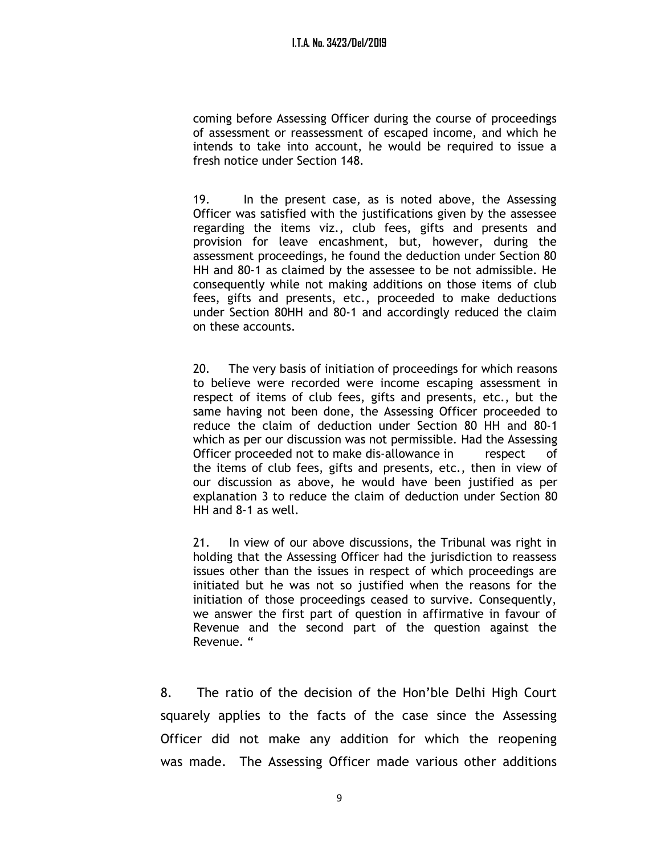coming before Assessing Officer during the course of proceedings of assessment or reassessment of escaped income, and which he intends to take into account, he would be required to issue a fresh notice under Section 148.

19. In the present case, as is noted above, the Assessing Officer was satisfied with the justifications given by the assessee regarding the items viz., club fees, gifts and presents and provision for leave encashment, but, however, during the assessment proceedings, he found the deduction under Section 80 HH and 80-1 as claimed by the assessee to be not admissible. He consequently while not making additions on those items of club fees, gifts and presents, etc., proceeded to make deductions under Section 80HH and 80-1 and accordingly reduced the claim on these accounts.

20. The very basis of initiation of proceedings for which reasons to believe were recorded were income escaping assessment in respect of items of club fees, gifts and presents, etc., but the same having not been done, the Assessing Officer proceeded to reduce the claim of deduction under Section 80 HH and 80-1 which as per our discussion was not permissible. Had the Assessing Officer proceeded not to make dis-allowance in respect of the items of club fees, gifts and presents, etc., then in view of our discussion as above, he would have been justified as per explanation 3 to reduce the claim of deduction under Section 80 HH and 8-1 as well.

21. In view of our above discussions, the Tribunal was right in holding that the Assessing Officer had the jurisdiction to reassess issues other than the issues in respect of which proceedings are initiated but he was not so justified when the reasons for the initiation of those proceedings ceased to survive. Consequently, we answer the first part of question in affirmative in favour of Revenue and the second part of the question against the Revenue. "

8. The ratio of the decision of the Hon'ble Delhi High Court squarely applies to the facts of the case since the Assessing Officer did not make any addition for which the reopening was made. The Assessing Officer made various other additions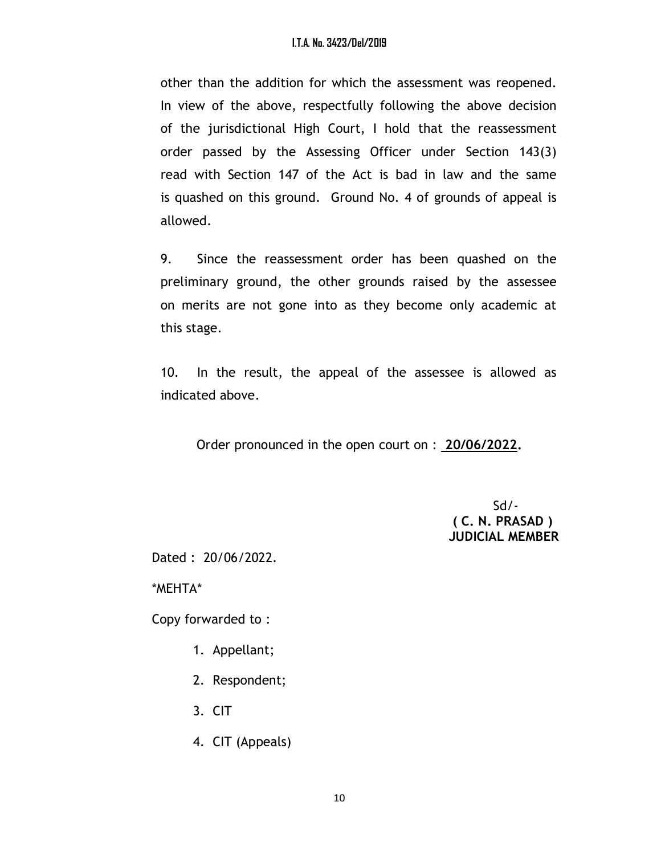other than the addition for which the assessment was reopened. In view of the above, respectfully following the above decision of the jurisdictional High Court, I hold that the reassessment order passed by the Assessing Officer under Section 143(3) read with Section 147 of the Act is bad in law and the same is quashed on this ground. Ground No. 4 of grounds of appeal is allowed.

9. Since the reassessment order has been quashed on the preliminary ground, the other grounds raised by the assessee on merits are not gone into as they become only academic at this stage.

10. In the result, the appeal of the assessee is allowed as indicated above.

Order pronounced in the open court on : 20/06/2022.

 $Sd$ - ( C. N. PRASAD ) JUDICIAL MEMBER

Dated : 20/06/2022.

\*MEHTA\*

Copy forwarded to :

- 1. Appellant;
- 2. Respondent;
- 3. CIT
- 4. CIT (Appeals)